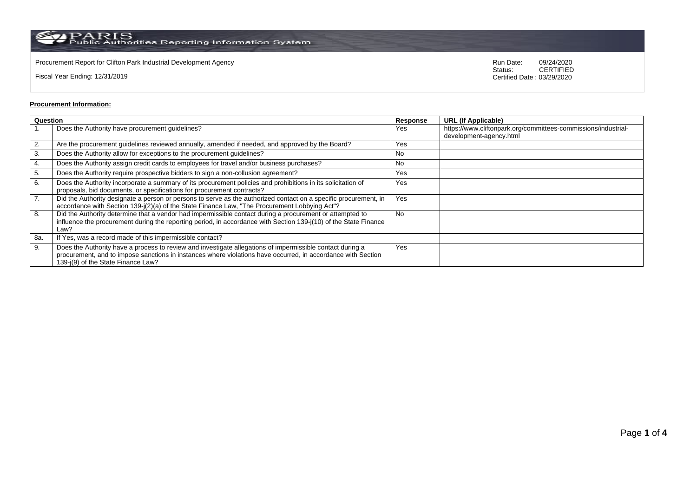$\rm PARS$  PARIS<br>Public Authorities Reporting Information System

Procurement Report for Clifton Park Industrial Development Agency<br>
Status: CERTIFIED<br>
CERTIFIED

Fiscal Year Ending: 12/31/2019

CERTIFIED Certified Date : 03/29/2020

## **Procurement Information:**

| Question |                                                                                                                                                                                                                                                                 | Response  | <b>URL (If Applicable)</b>                                                                |
|----------|-----------------------------------------------------------------------------------------------------------------------------------------------------------------------------------------------------------------------------------------------------------------|-----------|-------------------------------------------------------------------------------------------|
|          | Does the Authority have procurement guidelines?                                                                                                                                                                                                                 | Yes       | https://www.cliftonpark.org/committees-commissions/industrial-<br>development-agency.html |
| 2.       | Are the procurement guidelines reviewed annually, amended if needed, and approved by the Board?                                                                                                                                                                 | Yes       |                                                                                           |
| 3.       | Does the Authority allow for exceptions to the procurement quidelines?                                                                                                                                                                                          | No        |                                                                                           |
| 4.       | Does the Authority assign credit cards to employees for travel and/or business purchases?                                                                                                                                                                       | No        |                                                                                           |
| 5.       | Does the Authority require prospective bidders to sign a non-collusion agreement?                                                                                                                                                                               | Yes       |                                                                                           |
| 6.       | Does the Authority incorporate a summary of its procurement policies and prohibitions in its solicitation of<br>proposals, bid documents, or specifications for procurement contracts?                                                                          | Yes       |                                                                                           |
| 7.       | Did the Authority designate a person or persons to serve as the authorized contact on a specific procurement, in<br>accordance with Section 139-j(2)(a) of the State Finance Law, "The Procurement Lobbying Act"?                                               | Yes       |                                                                                           |
| 8.       | Did the Authority determine that a vendor had impermissible contact during a procurement or attempted to<br>influence the procurement during the reporting period, in accordance with Section 139-j(10) of the State Finance<br>Law?                            | <b>No</b> |                                                                                           |
| 8a.      | If Yes, was a record made of this impermissible contact?                                                                                                                                                                                                        |           |                                                                                           |
| 9.       | Does the Authority have a process to review and investigate allegations of impermissible contact during a<br>procurement, and to impose sanctions in instances where violations have occurred, in accordance with Section<br>139-i(9) of the State Finance Law? | Yes       |                                                                                           |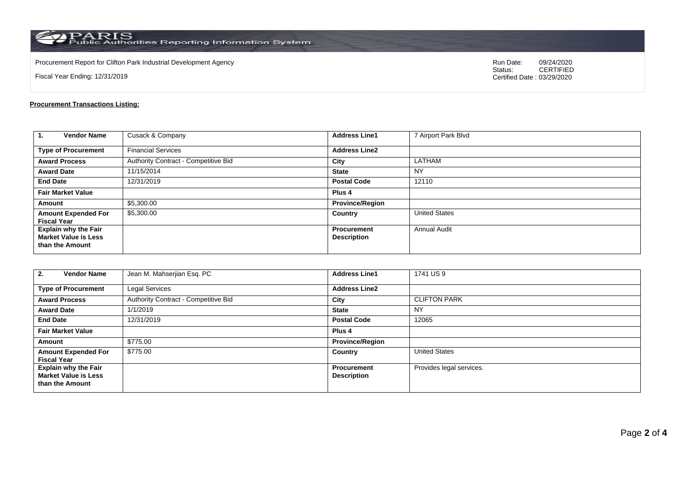$\rm PARS$  PARIS<br>Public Authorities Reporting Information System

Procurement Report for Clifton Park Industrial Development Agency<br>
Status: CERTIFIED<br>
CERTIFIED

Fiscal Year Ending: 12/31/2019

CERTIFIED Certified Date : 03/29/2020

## **Procurement Transactions Listing:**

| 1.<br><b>Vendor Name</b>                                                      | Cusack & Company                     | <b>Address Line1</b>                     | 7 Airport Park Blvd  |
|-------------------------------------------------------------------------------|--------------------------------------|------------------------------------------|----------------------|
| <b>Type of Procurement</b>                                                    | <b>Financial Services</b>            | <b>Address Line2</b>                     |                      |
| <b>Award Process</b>                                                          | Authority Contract - Competitive Bid | City                                     | <b>LATHAM</b>        |
| <b>Award Date</b>                                                             | 11/15/2014                           | <b>State</b>                             | <b>NY</b>            |
| <b>End Date</b>                                                               | 12/31/2019                           | <b>Postal Code</b>                       | 12110                |
| <b>Fair Market Value</b>                                                      |                                      | Plus <sub>4</sub>                        |                      |
| Amount                                                                        | \$5,300.00                           | <b>Province/Region</b>                   |                      |
| <b>Amount Expended For</b><br><b>Fiscal Year</b>                              | \$5,300.00                           | Country                                  | <b>United States</b> |
| <b>Explain why the Fair</b><br><b>Market Value is Less</b><br>than the Amount |                                      | <b>Procurement</b><br><b>Description</b> | <b>Annual Audit</b>  |

| <b>Vendor Name</b><br>2.                                                      | Jean M. Mahserjian Esq. PC           | <b>Address Line1</b>                     | 1741 US 9                |
|-------------------------------------------------------------------------------|--------------------------------------|------------------------------------------|--------------------------|
| <b>Type of Procurement</b>                                                    | Legal Services                       | <b>Address Line2</b>                     |                          |
| <b>Award Process</b>                                                          | Authority Contract - Competitive Bid | City                                     | <b>CLIFTON PARK</b>      |
| <b>Award Date</b>                                                             | 1/1/2019                             | <b>State</b>                             | <b>NY</b>                |
| <b>End Date</b>                                                               | 12/31/2019                           | <b>Postal Code</b>                       | 12065                    |
| <b>Fair Market Value</b>                                                      |                                      | Plus <sub>4</sub>                        |                          |
| Amount                                                                        | \$775.00                             | <b>Province/Region</b>                   |                          |
| <b>Amount Expended For</b><br><b>Fiscal Year</b>                              | \$775.00                             | Country                                  | <b>United States</b>     |
| <b>Explain why the Fair</b><br><b>Market Value is Less</b><br>than the Amount |                                      | <b>Procurement</b><br><b>Description</b> | Provides legal services. |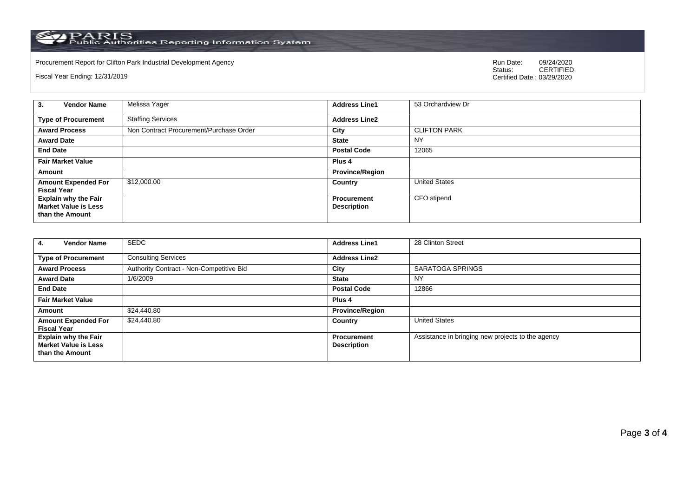PARIS<br>Public Authorities Reporting Information System

Procurement Report for Clifton Park Industrial Development Agency<br>
Status: CERTIFIED<br>
CERTIFIED

Fiscal Year Ending: 12/31/2019

CERTIFIED Certified Date : 03/29/2020

| <b>Vendor Name</b><br>3.                                                      | Melissa Yager                           | <b>Address Line1</b>                     | 53 Orchardview Dr    |
|-------------------------------------------------------------------------------|-----------------------------------------|------------------------------------------|----------------------|
| <b>Type of Procurement</b>                                                    | <b>Staffing Services</b>                | <b>Address Line2</b>                     |                      |
| <b>Award Process</b>                                                          | Non Contract Procurement/Purchase Order | City                                     | <b>CLIFTON PARK</b>  |
| <b>Award Date</b>                                                             |                                         | <b>State</b>                             | NY                   |
| <b>End Date</b>                                                               |                                         | <b>Postal Code</b>                       | 12065                |
| <b>Fair Market Value</b>                                                      |                                         | Plus <sub>4</sub>                        |                      |
| Amount                                                                        |                                         | <b>Province/Region</b>                   |                      |
| <b>Amount Expended For</b><br><b>Fiscal Year</b>                              | \$12,000.00                             | Country                                  | <b>United States</b> |
| <b>Explain why the Fair</b><br><b>Market Value is Less</b><br>than the Amount |                                         | <b>Procurement</b><br><b>Description</b> | CFO stipend          |

| <b>Vendor Name</b><br>4.                                                      | <b>SEDC</b>                              | <b>Address Line1</b>                     | 28 Clinton Street                                 |
|-------------------------------------------------------------------------------|------------------------------------------|------------------------------------------|---------------------------------------------------|
| <b>Type of Procurement</b>                                                    | <b>Consulting Services</b>               | <b>Address Line2</b>                     |                                                   |
| <b>Award Process</b>                                                          | Authority Contract - Non-Competitive Bid | City                                     | <b>SARATOGA SPRINGS</b>                           |
| <b>Award Date</b>                                                             | 1/6/2009                                 | <b>State</b>                             | NY                                                |
| <b>End Date</b>                                                               |                                          | <b>Postal Code</b>                       | 12866                                             |
| <b>Fair Market Value</b>                                                      |                                          | Plus 4                                   |                                                   |
| Amount                                                                        | \$24,440.80                              | <b>Province/Region</b>                   |                                                   |
| <b>Amount Expended For</b><br><b>Fiscal Year</b>                              | \$24,440.80                              | Country                                  | <b>United States</b>                              |
| <b>Explain why the Fair</b><br><b>Market Value is Less</b><br>than the Amount |                                          | <b>Procurement</b><br><b>Description</b> | Assistance in bringing new projects to the agency |